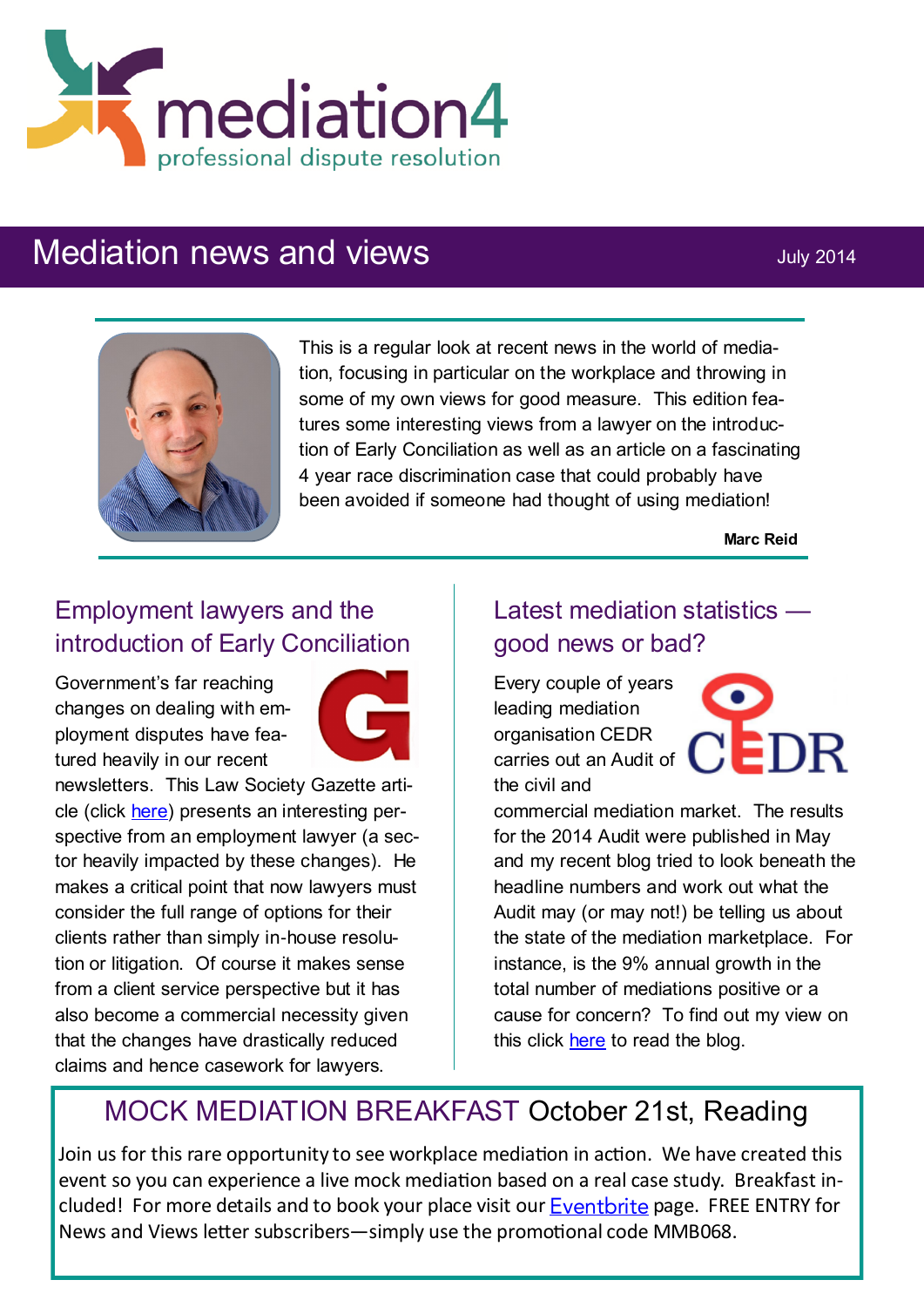

# Mediation news and views **Mediation** news and views



This is a regular look at recent news in the world of mediation, focusing in particular on the workplace and throwing in some of my own views for good measure. This edition features some interesting views from a lawyer on the introduction of Early Conciliation as well as an article on a fascinating 4 year race discrimination case that could probably have been avoided if someone had thought of using mediation!

**Marc Reid**

## Employment lawyers and the introduction of Early Conciliation

Government's far reaching changes on dealing with employment disputes have featured heavily in our recent



newsletters. This Law Society Gazette article (click [here\)](http://www.lawgazette.co.uk/law/practice-points/important-days-for-early-conciliation/5042216.article) presents an interesting perspective from an employment lawyer (a sector heavily impacted by these changes). He makes a critical point that now lawyers must consider the full range of options for their clients rather than simply in-house resolution or litigation. Of course it makes sense from a client service perspective but it has also become a commercial necessity given that the changes have drastically reduced claims and hence casework for lawyers.

## Latest mediation statistics good news or bad?

Every couple of years leading mediation organisation CEDR carries out an Audit of the civil and



commercial mediation market. The results for the 2014 Audit were published in May and my recent blog tried to look beneath the headline numbers and work out what the Audit may (or may not!) be telling us about the state of the mediation marketplace. For instance, is the 9% annual growth in the total number of mediations positive or a cause for concern? To find out my view on this click [here](http://www.mediation4.co.uk/html/blog.html) to read the blog.

## MOCK MEDIATION BREAKFAST October 21st, Reading

Join us for this rare opportunity to see workplace mediation in action. We have created this event so you can experience a live mock mediation based on a real case study. Breakfast included! For more details and to book your [p](http://www.tinyurl.com/k37wy6d)lace visit our  $E$ ventbrite page. FREE ENTRY for News and Views letter subscribers—simply use the promotional code MMB068.